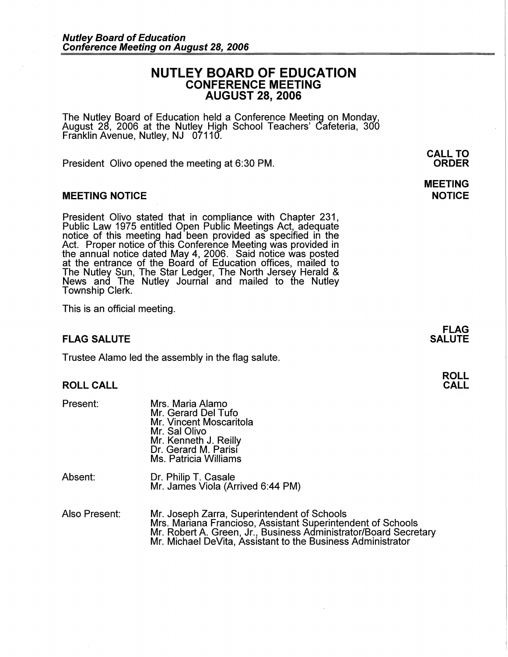# **NUTLEY BOARD OF EDUCATION CONFERENCE MEETING AUGUST 28, 2006**

The Nutley Board of Education held a Conference Meeting on Monday, August 28, 2006 at the Nutley High School Teachers' Cafeteria, 300 Franklin Avenue, Nutley, NJ 07110.

President Olivo opened the meeting at 6:30 PM.

#### **MEETING NOTICE**

President Olivo stated that in compliance with Chapter 231, Public Law 1975 entitled Open Public Meetings Act, adequate Public Law 1975 entitled Open Public Meetings Act, adequate<br>notice of this meeting had been provided as specified in the Act. Proper notice of this Conference Meeting was provided in the annual notice dated May 4, 2006. Said notice was posted at the entrance of the Board of Education offices, mailed to The Nutley Sun, The Star Ledger, The North Jersey Herald & News and The Nutley Journal and mailed to the Nutley Township Clerk.

This is an official meeting.

#### **FLAG SALUTE**

Trustee Alamo led the assembly in the flag salute.

## **ROLL CALL**

| Present: | Mrs. Maria Alamo<br>Mr. Gerard Del Tufo<br>Mr. Vincent Moscaritola<br>Mr. Sal Olivo<br>Mr. Kenneth J. Reilly<br>Dr. Gerard M. Parisi<br>Ms. Patricia Williams |
|----------|---------------------------------------------------------------------------------------------------------------------------------------------------------------|
| Absent:  | Dr. Philip T. Casale<br>Mr. James Viola (Arrived 6:44 PM)                                                                                                     |

Also Present: Mr. Joseph Zarra, Superintendent of Schools Mrs. Mariana Franciosa, Assistant Superintendent of Schools Mr. Robert A. Green, Jr., Business Administrator/Board Secretary Mr. Michael DeVita, Assistant to the Business Administrator

**CALL TO ORDER** 

**MEETING NOTICE** 

> **FLAG SALUTE**

> > **ROLL CALL**